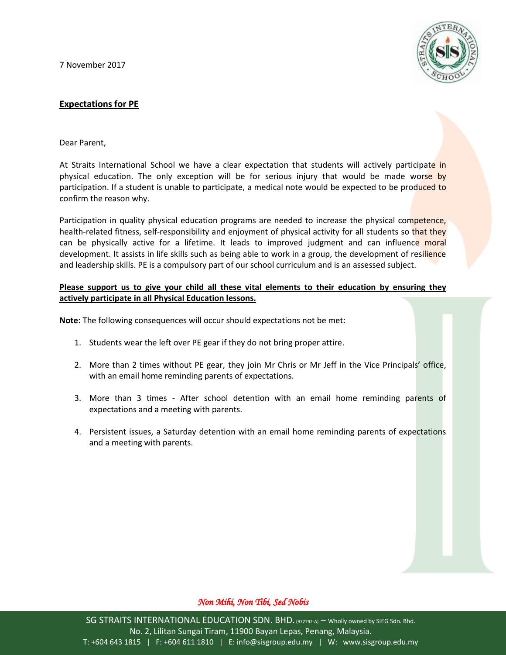7 November 2017



## **Expectations for PE**

Dear Parent,

At Straits International School we have a clear expectation that students will actively participate in physical education. The only exception will be for serious injury that would be made worse by participation. If a student is unable to participate, a medical note would be expected to be produced to confirm the reason why.

Participation in quality physical education programs are needed to increase the physical competence, health-related fitness, self-responsibility and enjoyment of physical activity for all students so that they can be physically active for a lifetime. It leads to improved judgment and can influence moral development. It assists in life skills such as being able to work in a group, the development of resilience and leadership skills. PE is a compulsory part of our school curriculum and is an assessed subject.

## **Please support us to give your child all these vital elements to their education by ensuring they actively participate in all Physical Education lessons.**

**Note**: The following consequences will occur should expectations not be met:

- 1. Students wear the left over PE gear if they do not bring proper attire.
- 2. More than 2 times without PE gear, they join Mr Chris or Mr Jeff in the Vice Principals' office, with an email home reminding parents of expectations.
- 3. More than 3 times After school detention with an email home reminding parents of expectations and a meeting with parents.
- 4. Persistent issues, a Saturday detention with an email home reminding parents of expectations and a meeting with parents.

## *Non Mihi, Non Tibi, Sed Nobis*

SG STRAITS INTERNATIONAL EDUCATION SDN. BHD. (972792-A) – Wholly owned by SIEG Sdn. Bhd. No. 2, Lilitan Sungai Tiram, 11900 Bayan Lepas, Penang, Malaysia. T: +604 643 1815 | F: +604 611 1810 | E: info@sisgroup.edu.my | W: www.sisgroup.edu.my